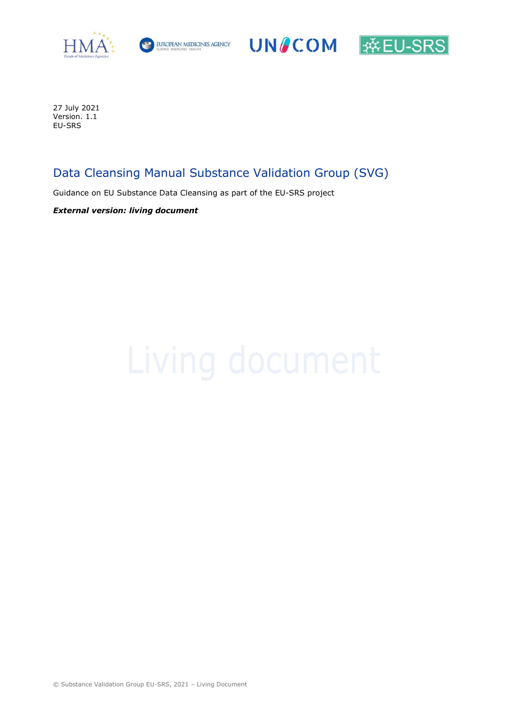





27 July 2021 Version. 1.1 EU-SRS

# Data Cleansing Manual Substance Validation Group (SVG)

Guidance on EU Substance Data Cleansing as part of the EU-SRS project

External version: living document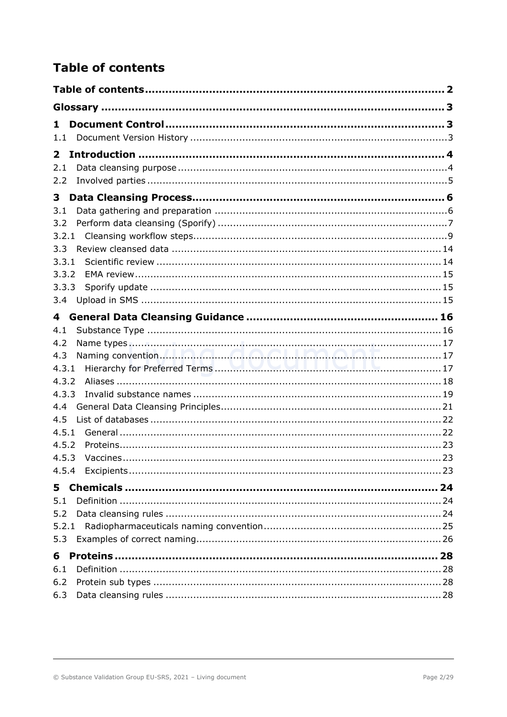# **Table of contents**

| 1                        |  |
|--------------------------|--|
| 1.1                      |  |
| $\overline{2}$           |  |
| 2.1                      |  |
| 2.2                      |  |
| 3                        |  |
| 3.1                      |  |
| 3.2                      |  |
| 3.2.1                    |  |
| 3.3                      |  |
| 3.3.1                    |  |
| 3.3.2                    |  |
| 3.3.3<br>3.4             |  |
|                          |  |
| 4                        |  |
| 4.1<br>4.2               |  |
| Naming convention<br>4.3 |  |
| 4.3.1                    |  |
| 4.3.2                    |  |
| 4.3.3                    |  |
| 4.4                      |  |
| 4.5                      |  |
| 4.5.1                    |  |
| 4.5.2                    |  |
| 4.5.3                    |  |
|                          |  |
| 5                        |  |
| 5.1                      |  |
| 5.2                      |  |
| 5.2.1<br>5.3             |  |
|                          |  |
| 6                        |  |
| 6.1<br>6.2               |  |
| 6.3                      |  |
|                          |  |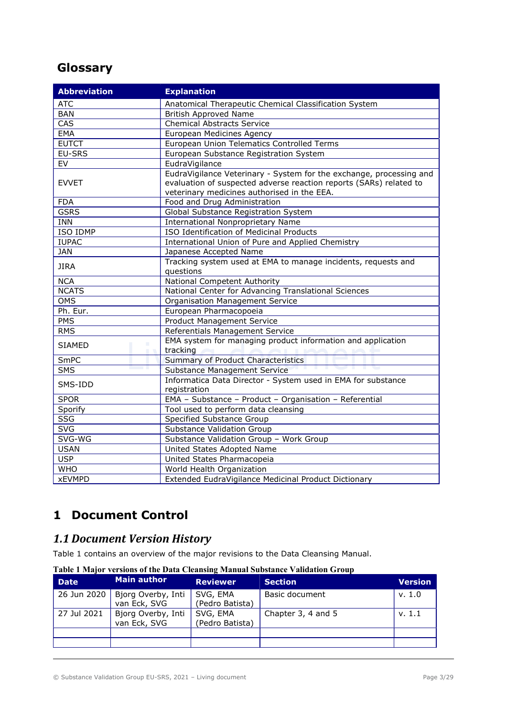# **Glossary**

| <b>Abbreviation</b>       | <b>Explanation</b>                                                                                                                                                                       |
|---------------------------|------------------------------------------------------------------------------------------------------------------------------------------------------------------------------------------|
| <b>ATC</b>                | Anatomical Therapeutic Chemical Classification System                                                                                                                                    |
| <b>BAN</b>                | <b>British Approved Name</b>                                                                                                                                                             |
| CAS                       | <b>Chemical Abstracts Service</b>                                                                                                                                                        |
| EMA                       | European Medicines Agency                                                                                                                                                                |
| <b>EUTCT</b>              | European Union Telematics Controlled Terms                                                                                                                                               |
| EU-SRS                    | European Substance Registration System                                                                                                                                                   |
| EV                        | EudraVigilance                                                                                                                                                                           |
| <b>EVVET</b>              | EudraVigilance Veterinary - System for the exchange, processing and<br>evaluation of suspected adverse reaction reports (SARs) related to<br>veterinary medicines authorised in the EEA. |
| <b>FDA</b>                | Food and Drug Administration                                                                                                                                                             |
| <b>GSRS</b>               | Global Substance Registration System                                                                                                                                                     |
| <b>INN</b>                | <b>International Nonproprietary Name</b>                                                                                                                                                 |
| ISO IDMP                  | ISO Identification of Medicinal Products                                                                                                                                                 |
| <b>IUPAC</b>              | International Union of Pure and Applied Chemistry                                                                                                                                        |
| <b>JAN</b>                | Japanese Accepted Name                                                                                                                                                                   |
| <b>JIRA</b>               | Tracking system used at EMA to manage incidents, requests and<br>questions                                                                                                               |
| <b>NCA</b>                | National Competent Authority                                                                                                                                                             |
| <b>NCATS</b>              | National Center for Advancing Translational Sciences                                                                                                                                     |
| <b>OMS</b>                | Organisation Management Service                                                                                                                                                          |
| Ph. Eur.                  | European Pharmacopoeia                                                                                                                                                                   |
| PMS                       | <b>Product Management Service</b>                                                                                                                                                        |
| <b>RMS</b>                | Referentials Management Service                                                                                                                                                          |
| ш<br><b>SIAMED</b><br>. . | EMA system for managing product information and application<br>tracking                                                                                                                  |
| SmPC                      | Summary of Product Characteristics                                                                                                                                                       |
| <b>SMS</b>                | <b>Substance Management Service</b>                                                                                                                                                      |
| SMS-IDD                   | Informatica Data Director - System used in EMA for substance<br>registration                                                                                                             |
| <b>SPOR</b>               | EMA - Substance - Product - Organisation - Referential                                                                                                                                   |
| Sporify                   | Tool used to perform data cleansing                                                                                                                                                      |
| <b>SSG</b>                | Specified Substance Group                                                                                                                                                                |
| <b>SVG</b>                | <b>Substance Validation Group</b>                                                                                                                                                        |
| SVG-WG                    | Substance Validation Group - Work Group                                                                                                                                                  |
| <b>USAN</b>               | United States Adopted Name                                                                                                                                                               |
| USP                       | United States Pharmacopeia                                                                                                                                                               |
| <b>WHO</b>                | World Health Organization                                                                                                                                                                |
| <b>xEVMPD</b>             | Extended EudraVigilance Medicinal Product Dictionary                                                                                                                                     |

# 1 Document Control

# 1.1 Document Version History

Table 1 contains an overview of the major revisions to the Data Cleansing Manual.

Table 1 Major versions of the Data Cleansing Manual Substance Validation Group

| <b>Date</b> | Main author                        | <b>Reviewer</b>             | <b>Section</b>     | <b>Version</b> |
|-------------|------------------------------------|-----------------------------|--------------------|----------------|
| 26 Jun 2020 | Bjorg Overby, Inti<br>van Eck, SVG | SVG, EMA<br>(Pedro Batista) | Basic document     | v. 1.0         |
| 27 Jul 2021 | Bjorg Overby, Inti<br>van Eck, SVG | SVG, EMA<br>(Pedro Batista) | Chapter 3, 4 and 5 | v. 1.1         |
|             |                                    |                             |                    |                |
|             |                                    |                             |                    |                |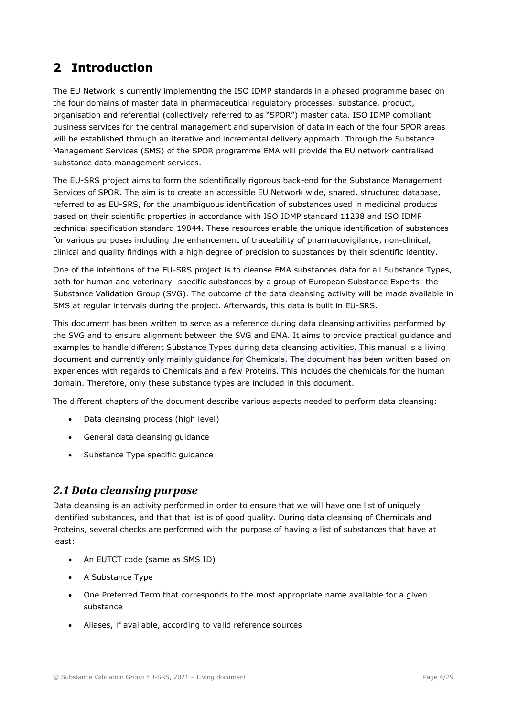# 2 Introduction

The EU Network is currently implementing the ISO IDMP standards in a phased programme based on the four domains of master data in pharmaceutical regulatory processes: substance, product, organisation and referential (collectively referred to as "SPOR") master data. ISO IDMP compliant business services for the central management and supervision of data in each of the four SPOR areas will be established through an iterative and incremental delivery approach. Through the Substance Management Services (SMS) of the SPOR programme EMA will provide the EU network centralised substance data management services.

The EU-SRS project aims to form the scientifically rigorous back-end for the Substance Management Services of SPOR. The aim is to create an accessible EU Network wide, shared, structured database, referred to as EU-SRS, for the unambiguous identification of substances used in medicinal products based on their scientific properties in accordance with ISO IDMP standard 11238 and ISO IDMP technical specification standard 19844. These resources enable the unique identification of substances for various purposes including the enhancement of traceability of pharmacovigilance, non-clinical, clinical and quality findings with a high degree of precision to substances by their scientific identity.

One of the intentions of the EU-SRS project is to cleanse EMA substances data for all Substance Types, both for human and veterinary- specific substances by a group of European Substance Experts: the Substance Validation Group (SVG). The outcome of the data cleansing activity will be made available in SMS at regular intervals during the project. Afterwards, this data is built in EU-SRS.

This document has been written to serve as a reference during data cleansing activities performed by the SVG and to ensure alignment between the SVG and EMA. It aims to provide practical guidance and examples to handle different Substance Types during data cleansing activities. This manual is a living document and currently only mainly guidance for Chemicals. The document has been written based on experiences with regards to Chemicals and a few Proteins. This includes the chemicals for the human domain. Therefore, only these substance types are included in this document.

The different chapters of the document describe various aspects needed to perform data cleansing:

- Data cleansing process (high level)
- General data cleansing guidance
- Substance Type specific guidance

## 2.1 Data cleansing purpose

Data cleansing is an activity performed in order to ensure that we will have one list of uniquely identified substances, and that that list is of good quality. During data cleansing of Chemicals and Proteins, several checks are performed with the purpose of having a list of substances that have at least:

- An EUTCT code (same as SMS ID)
- A Substance Type
- One Preferred Term that corresponds to the most appropriate name available for a given substance
- Aliases, if available, according to valid reference sources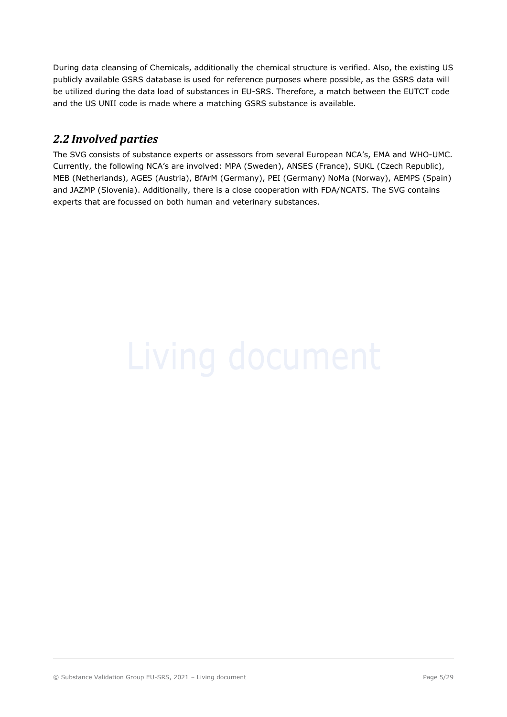During data cleansing of Chemicals, additionally the chemical structure is verified. Also, the existing US publicly available GSRS database is used for reference purposes where possible, as the GSRS data will be utilized during the data load of substances in EU-SRS. Therefore, a match between the EUTCT code and the US UNII code is made where a matching GSRS substance is available.

# 2.2 Involved parties

The SVG consists of substance experts or assessors from several European NCA's, EMA and WHO-UMC. Currently, the following NCA's are involved: MPA (Sweden), ANSES (France), SUKL (Czech Republic), MEB (Netherlands), AGES (Austria), BfArM (Germany), PEI (Germany) NoMa (Norway), AEMPS (Spain) and JAZMP (Slovenia). Additionally, there is a close cooperation with FDA/NCATS. The SVG contains experts that are focussed on both human and veterinary substances.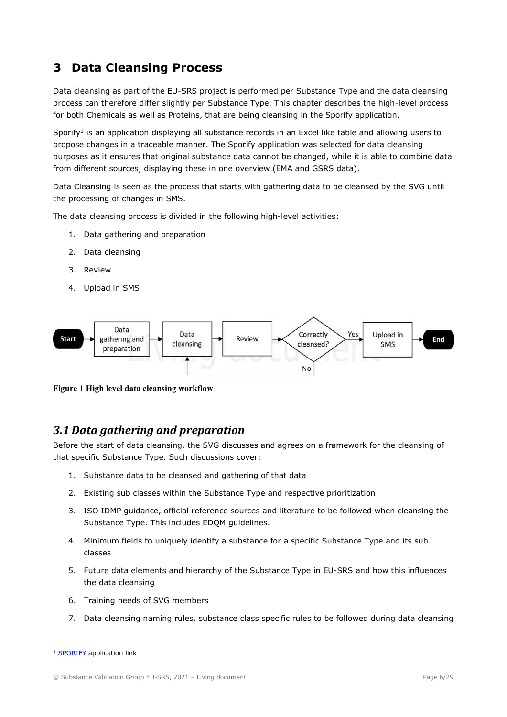# 3 Data Cleansing Process

Data cleansing as part of the EU-SRS project is performed per Substance Type and the data cleansing process can therefore differ slightly per Substance Type. This chapter describes the high-level process for both Chemicals as well as Proteins, that are being cleansing in the Sporify application.

Sporify<sup>1</sup> is an application displaying all substance records in an Excel like table and allowing users to propose changes in a traceable manner. The Sporify application was selected for data cleansing purposes as it ensures that original substance data cannot be changed, while it is able to combine data from different sources, displaying these in one overview (EMA and GSRS data).

Data Cleansing is seen as the process that starts with gathering data to be cleansed by the SVG until the processing of changes in SMS.

The data cleansing process is divided in the following high-level activities:

- 1. Data gathering and preparation
- 2. Data cleansing
- 3. Review
- 4. Upload in SMS



Figure 1 High level data cleansing workflow

## 3.1 Data gathering and preparation

Before the start of data cleansing, the SVG discusses and agrees on a framework for the cleansing of that specific Substance Type. Such discussions cover:

- 1. Substance data to be cleansed and gathering of that data
- 2. Existing sub classes within the Substance Type and respective prioritization
- 3. ISO IDMP guidance, official reference sources and literature to be followed when cleansing the Substance Type. This includes EDQM guidelines.
- 4. Minimum fields to uniquely identify a substance for a specific Substance Type and its sub classes
- 5. Future data elements and hierarchy of the Substance Type in EU-SRS and how this influences the data cleansing
- 6. Training needs of SVG members
- 7. Data cleansing naming rules, substance class specific rules to be followed during data cleansing

SPORIFY application link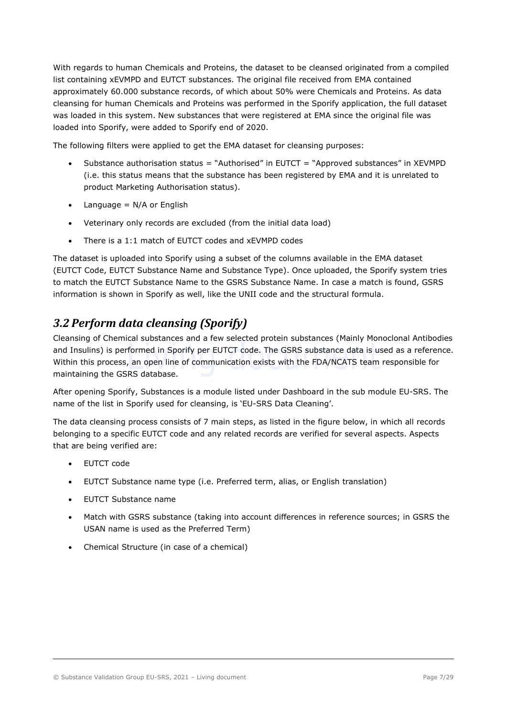With regards to human Chemicals and Proteins, the dataset to be cleansed originated from a compiled list containing xEVMPD and EUTCT substances. The original file received from EMA contained approximately 60.000 substance records, of which about 50% were Chemicals and Proteins. As data cleansing for human Chemicals and Proteins was performed in the Sporify application, the full dataset was loaded in this system. New substances that were registered at EMA since the original file was loaded into Sporify, were added to Sporify end of 2020.

The following filters were applied to get the EMA dataset for cleansing purposes:

- Substance authorisation status = "Authorised" in EUTCT = "Approved substances" in XEVMPD (i.e. this status means that the substance has been registered by EMA and it is unrelated to product Marketing Authorisation status).
- $\bullet$  Language = N/A or English
- Veterinary only records are excluded (from the initial data load)
- There is a 1:1 match of EUTCT codes and xEVMPD codes

The dataset is uploaded into Sporify using a subset of the columns available in the EMA dataset (EUTCT Code, EUTCT Substance Name and Substance Type). Once uploaded, the Sporify system tries to match the EUTCT Substance Name to the GSRS Substance Name. In case a match is found, GSRS information is shown in Sporify as well, like the UNII code and the structural formula.

# 3.2 Perform data cleansing (Sporify)

Cleansing of Chemical substances and a few selected protein substances (Mainly Monoclonal Antibodies and Insulins) is performed in Sporify per EUTCT code. The GSRS substance data is used as a reference. Within this process, an open line of communication exists with the FDA/NCATS team responsible for maintaining the GSRS database.

After opening Sporify, Substances is a module listed under Dashboard in the sub module EU-SRS. The name of the list in Sporify used for cleansing, is 'EU-SRS Data Cleaning'.

The data cleansing process consists of 7 main steps, as listed in the figure below, in which all records belonging to a specific EUTCT code and any related records are verified for several aspects. Aspects that are being verified are:

- EUTCT code
- EUTCT Substance name type (i.e. Preferred term, alias, or English translation)
- EUTCT Substance name
- Match with GSRS substance (taking into account differences in reference sources; in GSRS the USAN name is used as the Preferred Term)
- Chemical Structure (in case of a chemical)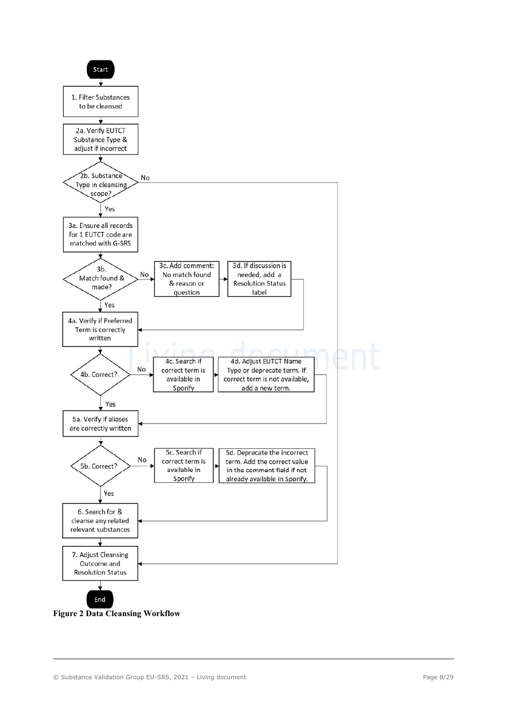

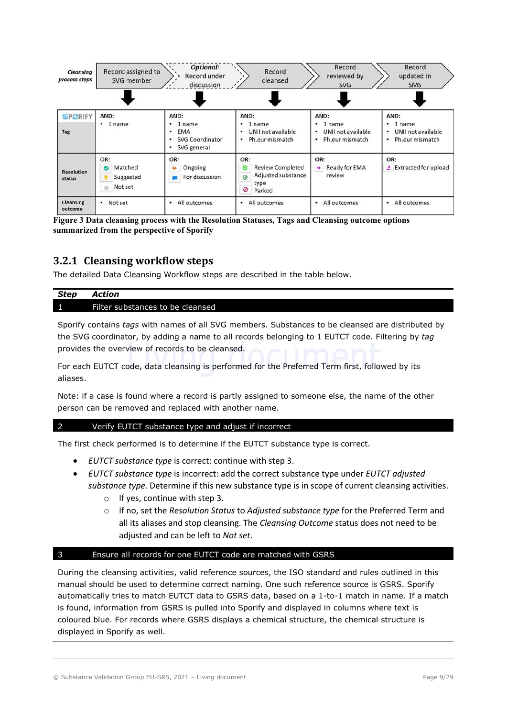

Figure 3 Data cleansing process with the Resolution Statuses, Tags and Cleansing outcome options summarized from the perspective of Sporify

## 3.2.1 Cleansing workflow steps

The detailed Data Cleansing Workflow steps are described in the table below.

#### Step Action 1 Filter substances to be cleansed

Sporify contains tags with names of all SVG members. Substances to be cleansed are distributed by the SVG coordinator, by adding a name to all records belonging to 1 EUTCT code. Filtering by tag provides the overview of records to be cleansed.

For each EUTCT code, data cleansing is performed for the Preferred Term first, followed by its aliases.

Note: if a case is found where a record is partly assigned to someone else, the name of the other person can be removed and replaced with another name.

#### 2 Verify EUTCT substance type and adjust if incorrect

The first check performed is to determine if the EUTCT substance type is correct.

- EUTCT substance type is correct: continue with step 3.
- EUTCT substance type is incorrect: add the correct substance type under EUTCT adjusted substance type. Determine if this new substance type is in scope of current cleansing activities.
	- o If yes, continue with step 3.
	- $\circ$  If no, set the Resolution Status to Adjusted substance type for the Preferred Term and all its aliases and stop cleansing. The Cleansing Outcome status does not need to be adjusted and can be left to Not set.

#### 3 Ensure all records for one EUTCT code are matched with GSRS

During the cleansing activities, valid reference sources, the ISO standard and rules outlined in this manual should be used to determine correct naming. One such reference source is GSRS. Sporify automatically tries to match EUTCT data to GSRS data, based on a 1-to-1 match in name. If a match is found, information from GSRS is pulled into Sporify and displayed in columns where text is coloured blue. For records where GSRS displays a chemical structure, the chemical structure is displayed in Sporify as well.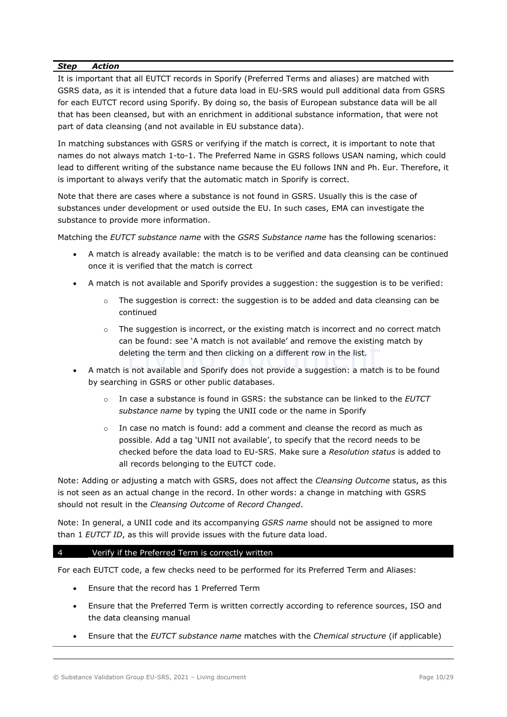It is important that all EUTCT records in Sporify (Preferred Terms and aliases) are matched with GSRS data, as it is intended that a future data load in EU-SRS would pull additional data from GSRS for each EUTCT record using Sporify. By doing so, the basis of European substance data will be all that has been cleansed, but with an enrichment in additional substance information, that were not part of data cleansing (and not available in EU substance data).

In matching substances with GSRS or verifying if the match is correct, it is important to note that names do not always match 1-to-1. The Preferred Name in GSRS follows USAN naming, which could lead to different writing of the substance name because the EU follows INN and Ph. Eur. Therefore, it is important to always verify that the automatic match in Sporify is correct.

Note that there are cases where a substance is not found in GSRS. Usually this is the case of substances under development or used outside the EU. In such cases, EMA can investigate the substance to provide more information.

Matching the EUTCT substance name with the GSRS Substance name has the following scenarios:

- A match is already available: the match is to be verified and data cleansing can be continued once it is verified that the match is correct
- A match is not available and Sporify provides a suggestion: the suggestion is to be verified:
	- $\circ$  The suggestion is correct: the suggestion is to be added and data cleansing can be continued
	- $\circ$  The suggestion is incorrect, or the existing match is incorrect and no correct match can be found: see 'A match is not available' and remove the existing match by deleting the term and then clicking on a different row in the list.
- A match is not available and Sporify does not provide a suggestion: a match is to be found by searching in GSRS or other public databases.
	- In case a substance is found in GSRS: the substance can be linked to the EUTCT substance name by typing the UNII code or the name in Sporify
	- $\circ$  In case no match is found: add a comment and cleanse the record as much as possible. Add a tag 'UNII not available', to specify that the record needs to be checked before the data load to EU-SRS. Make sure a Resolution status is added to all records belonging to the EUTCT code.

Note: Adding or adjusting a match with GSRS, does not affect the *Cleansing Outcome* status, as this is not seen as an actual change in the record. In other words: a change in matching with GSRS should not result in the Cleansing Outcome of Record Changed.

Note: In general, a UNII code and its accompanying GSRS name should not be assigned to more than 1 EUTCT ID, as this will provide issues with the future data load.

#### 4 Verify if the Preferred Term is correctly written

For each EUTCT code, a few checks need to be performed for its Preferred Term and Aliases:

- Ensure that the record has 1 Preferred Term
- Ensure that the Preferred Term is written correctly according to reference sources, ISO and the data cleansing manual
- Ensure that the EUTCT substance name matches with the Chemical structure (if applicable)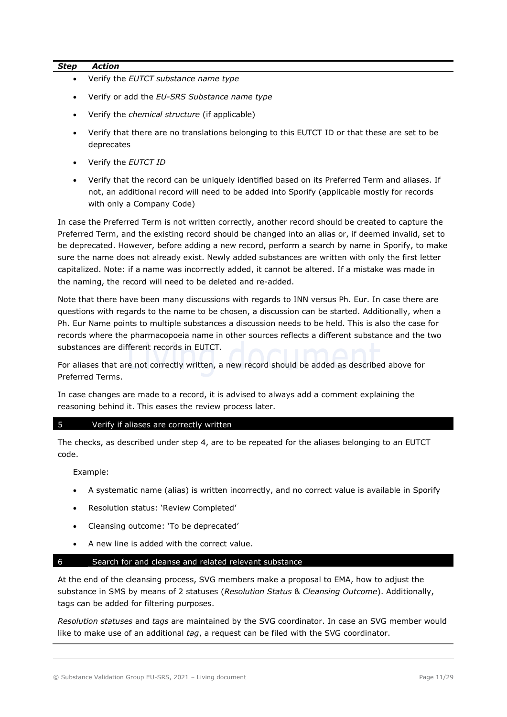- Verify the EUTCT substance name type
- Verify or add the EU-SRS Substance name type
- Verify the chemical structure (if applicable)
- Verify that there are no translations belonging to this EUTCT ID or that these are set to be deprecates
- Verify the EUTCT ID
- Verify that the record can be uniquely identified based on its Preferred Term and aliases. If not, an additional record will need to be added into Sporify (applicable mostly for records with only a Company Code)

In case the Preferred Term is not written correctly, another record should be created to capture the Preferred Term, and the existing record should be changed into an alias or, if deemed invalid, set to be deprecated. However, before adding a new record, perform a search by name in Sporify, to make sure the name does not already exist. Newly added substances are written with only the first letter capitalized. Note: if a name was incorrectly added, it cannot be altered. If a mistake was made in the naming, the record will need to be deleted and re-added.

Note that there have been many discussions with regards to INN versus Ph. Eur. In case there are questions with regards to the name to be chosen, a discussion can be started. Additionally, when a Ph. Eur Name points to multiple substances a discussion needs to be held. This is also the case for records where the pharmacopoeia name in other sources reflects a different substance and the two substances are different records in EUTCT.

For aliases that are not correctly written, a new record should be added as described above for Preferred Terms.

In case changes are made to a record, it is advised to always add a comment explaining the reasoning behind it. This eases the review process later.

#### 5 Verify if aliases are correctly written

The checks, as described under step 4, are to be repeated for the aliases belonging to an EUTCT code.

Example:

- A systematic name (alias) is written incorrectly, and no correct value is available in Sporify
- Resolution status: 'Review Completed'
- Cleansing outcome: 'To be deprecated'
- A new line is added with the correct value.

#### 6 Search for and cleanse and related relevant substance

At the end of the cleansing process, SVG members make a proposal to EMA, how to adjust the substance in SMS by means of 2 statuses (Resolution Status & Cleansing Outcome). Additionally, tags can be added for filtering purposes.

Resolution statuses and tags are maintained by the SVG coordinator. In case an SVG member would like to make use of an additional  $tag, a$  request can be filed with the SVG coordinator.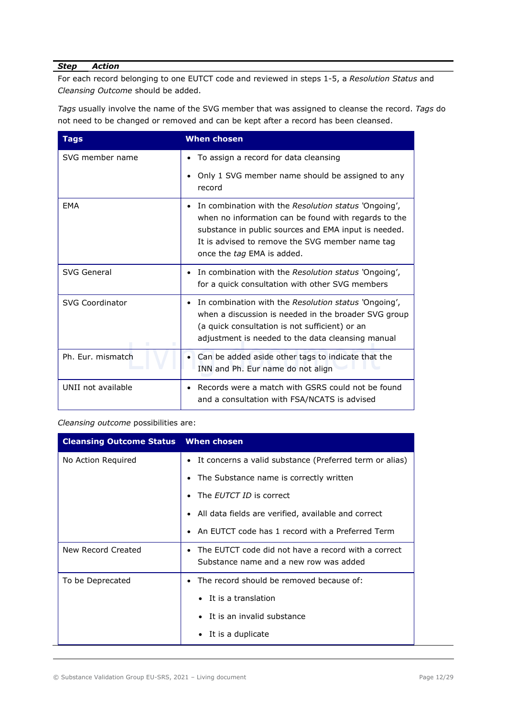For each record belonging to one EUTCT code and reviewed in steps 1-5, a Resolution Status and Cleansing Outcome should be added.

Tags usually involve the name of the SVG member that was assigned to cleanse the record. Tags do not need to be changed or removed and can be kept after a record has been cleansed.

| <b>Tags</b>            | <b>When chosen</b>                                                                                                                                                                                                                                                 |
|------------------------|--------------------------------------------------------------------------------------------------------------------------------------------------------------------------------------------------------------------------------------------------------------------|
| SVG member name        | To assign a record for data cleansing<br>$\bullet$                                                                                                                                                                                                                 |
|                        | Only 1 SVG member name should be assigned to any<br>$\bullet$<br>record                                                                                                                                                                                            |
| <b>FMA</b>             | In combination with the Resolution status 'Ongoing',<br>$\bullet$<br>when no information can be found with regards to the<br>substance in public sources and EMA input is needed.<br>It is advised to remove the SVG member name tag<br>once the tag EMA is added. |
| SVG General            | In combination with the Resolution status 'Ongoing',<br>for a quick consultation with other SVG members                                                                                                                                                            |
| <b>SVG Coordinator</b> | In combination with the Resolution status 'Ongoing',<br>$\bullet$<br>when a discussion is needed in the broader SVG group<br>(a quick consultation is not sufficient) or an<br>adjustment is needed to the data cleansing manual                                   |
| Ph. Eur. mismatch      | Can be added aside other tags to indicate that the<br>INN and Ph. Eur name do not align                                                                                                                                                                            |
| UNII not available     | Records were a match with GSRS could not be found<br>$\bullet$<br>and a consultation with FSA/NCATS is advised                                                                                                                                                     |

#### Cleansing outcome possibilities are:

| <b>Cleansing Outcome Status When chosen</b> |                                                                                                            |
|---------------------------------------------|------------------------------------------------------------------------------------------------------------|
| No Action Required                          | It concerns a valid substance (Preferred term or alias)<br>$\bullet$                                       |
|                                             | The Substance name is correctly written                                                                    |
|                                             | The <i>EUTCT ID</i> is correct                                                                             |
|                                             | • All data fields are verified, available and correct                                                      |
|                                             | An EUTCT code has 1 record with a Preferred Term<br>$\bullet$                                              |
| New Record Created                          | The EUTCT code did not have a record with a correct<br>$\bullet$<br>Substance name and a new row was added |
| To be Deprecated                            | The record should be removed because of:                                                                   |
|                                             | It is a translation                                                                                        |
|                                             | It is an invalid substance                                                                                 |
|                                             | • It is a duplicate                                                                                        |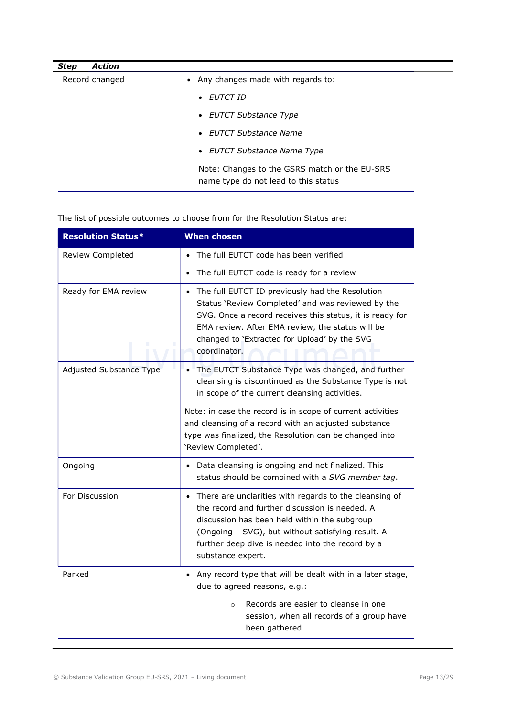| Action<br><b>Step</b> |                                                                                       |
|-----------------------|---------------------------------------------------------------------------------------|
| Record changed        | • Any changes made with regards to:                                                   |
|                       | • EUTCT ID                                                                            |
|                       | • EUTCT Substance Type                                                                |
|                       | • EUTCT Substance Name                                                                |
|                       | • EUTCT Substance Name Type                                                           |
|                       | Note: Changes to the GSRS match or the EU-SRS<br>name type do not lead to this status |

The list of possible outcomes to choose from for the Resolution Status are:

| <b>Resolution Status*</b>      | <b>When chosen</b>                                                                                                                                                                                                                                                                                  |
|--------------------------------|-----------------------------------------------------------------------------------------------------------------------------------------------------------------------------------------------------------------------------------------------------------------------------------------------------|
| Review Completed               | The full EUTCT code has been verified                                                                                                                                                                                                                                                               |
|                                | The full EUTCT code is ready for a review                                                                                                                                                                                                                                                           |
| Ready for EMA review           | The full EUTCT ID previously had the Resolution<br>$\bullet$<br>Status 'Review Completed' and was reviewed by the<br>SVG. Once a record receives this status, it is ready for<br>EMA review. After EMA review, the status will be<br>changed to 'Extracted for Upload' by the SVG<br>coordinator.   |
| <b>Adjusted Substance Type</b> | • The EUTCT Substance Type was changed, and further<br>cleansing is discontinued as the Substance Type is not<br>in scope of the current cleansing activities.                                                                                                                                      |
|                                | Note: in case the record is in scope of current activities<br>and cleansing of a record with an adjusted substance<br>type was finalized, the Resolution can be changed into<br>'Review Completed'.                                                                                                 |
| Ongoing                        | Data cleansing is ongoing and not finalized. This<br>$\bullet$<br>status should be combined with a SVG member tag.                                                                                                                                                                                  |
| For Discussion                 | There are unclarities with regards to the cleansing of<br>$\bullet$<br>the record and further discussion is needed. A<br>discussion has been held within the subgroup<br>(Ongoing - SVG), but without satisfying result. A<br>further deep dive is needed into the record by a<br>substance expert. |
| Parked                         | Any record type that will be dealt with in a later stage,<br>due to agreed reasons, e.g.:                                                                                                                                                                                                           |
|                                | Records are easier to cleanse in one<br>$\circ$<br>session, when all records of a group have<br>been gathered                                                                                                                                                                                       |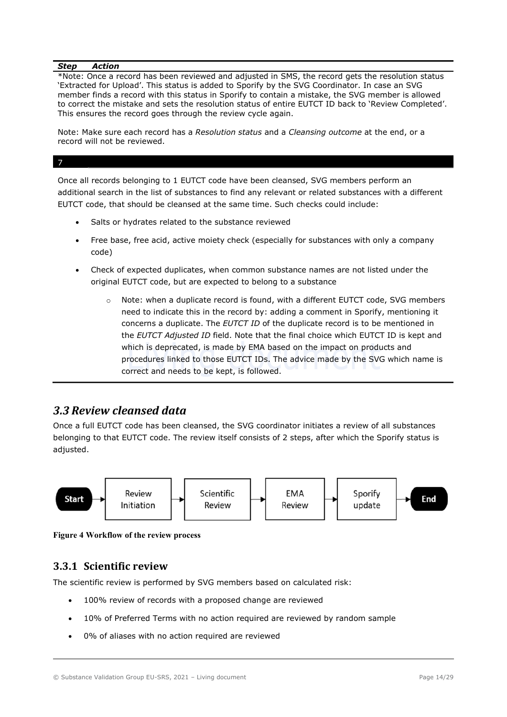\*Note: Once a record has been reviewed and adjusted in SMS, the record gets the resolution status 'Extracted for Upload'. This status is added to Sporify by the SVG Coordinator. In case an SVG member finds a record with this status in Sporify to contain a mistake, the SVG member is allowed to correct the mistake and sets the resolution status of entire EUTCT ID back to 'Review Completed'. This ensures the record goes through the review cycle again.

Note: Make sure each record has a Resolution status and a Cleansing outcome at the end, or a record will not be reviewed.

#### 7

Once all records belonging to 1 EUTCT code have been cleansed, SVG members perform an additional search in the list of substances to find any relevant or related substances with a different EUTCT code, that should be cleansed at the same time. Such checks could include:

- Salts or hydrates related to the substance reviewed
- Free base, free acid, active moiety check (especially for substances with only a company code)
- Check of expected duplicates, when common substance names are not listed under the original EUTCT code, but are expected to belong to a substance
	- $\circ$  Note: when a duplicate record is found, with a different EUTCT code, SVG members need to indicate this in the record by: adding a comment in Sporify, mentioning it concerns a duplicate. The EUTCT ID of the duplicate record is to be mentioned in the EUTCT Adjusted ID field. Note that the final choice which EUTCT ID is kept and which is deprecated, is made by EMA based on the impact on products and procedures linked to those EUTCT IDs. The advice made by the SVG which name is correct and needs to be kept, is followed.

## 3.3 Review cleansed data

Once a full EUTCT code has been cleansed, the SVG coordinator initiates a review of all substances belonging to that EUTCT code. The review itself consists of 2 steps, after which the Sporify status is adjusted.



Figure 4 Workflow of the review process

## 3.3.1 Scientific review

The scientific review is performed by SVG members based on calculated risk:

- 100% review of records with a proposed change are reviewed
- 10% of Preferred Terms with no action required are reviewed by random sample
- 0% of aliases with no action required are reviewed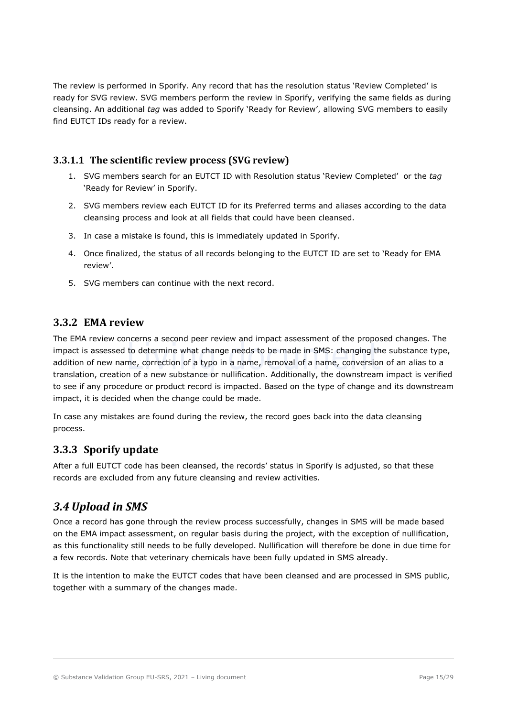The review is performed in Sporify. Any record that has the resolution status 'Review Completed' is ready for SVG review. SVG members perform the review in Sporify, verifying the same fields as during cleansing. An additional tag was added to Sporify 'Ready for Review', allowing SVG members to easily find EUTCT IDs ready for a review.

## 3.3.1.1 The scientific review process (SVG review)

- 1. SVG members search for an EUTCT ID with Resolution status 'Review Completed' or the tag 'Ready for Review' in Sporify.
- 2. SVG members review each EUTCT ID for its Preferred terms and aliases according to the data cleansing process and look at all fields that could have been cleansed.
- 3. In case a mistake is found, this is immediately updated in Sporify.
- 4. Once finalized, the status of all records belonging to the EUTCT ID are set to 'Ready for EMA review'.
- 5. SVG members can continue with the next record.

## 3.3.2 EMA review

The EMA review concerns a second peer review and impact assessment of the proposed changes. The impact is assessed to determine what change needs to be made in SMS: changing the substance type, addition of new name, correction of a typo in a name, removal of a name, conversion of an alias to a translation, creation of a new substance or nullification. Additionally, the downstream impact is verified to see if any procedure or product record is impacted. Based on the type of change and its downstream impact, it is decided when the change could be made.

In case any mistakes are found during the review, the record goes back into the data cleansing process.

## 3.3.3 Sporify update

After a full EUTCT code has been cleansed, the records' status in Sporify is adjusted, so that these records are excluded from any future cleansing and review activities.

## 3.4 Upload in SMS

Once a record has gone through the review process successfully, changes in SMS will be made based on the EMA impact assessment, on regular basis during the project, with the exception of nullification, as this functionality still needs to be fully developed. Nullification will therefore be done in due time for a few records. Note that veterinary chemicals have been fully updated in SMS already.

It is the intention to make the EUTCT codes that have been cleansed and are processed in SMS public, together with a summary of the changes made.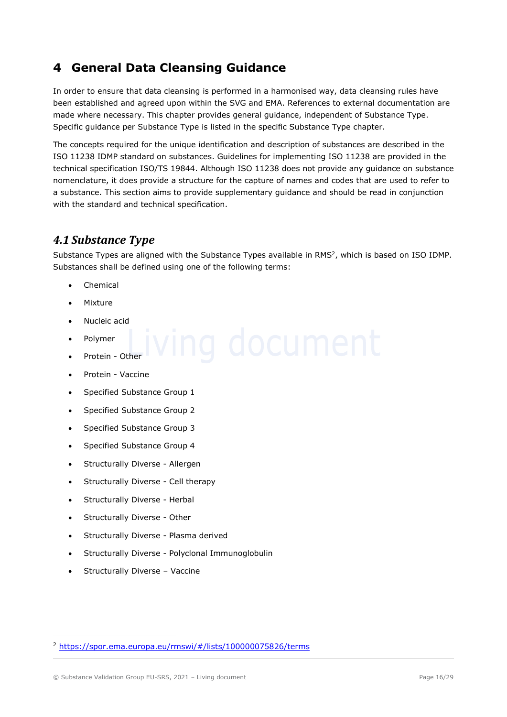# 4 General Data Cleansing Guidance

In order to ensure that data cleansing is performed in a harmonised way, data cleansing rules have been established and agreed upon within the SVG and EMA. References to external documentation are made where necessary. This chapter provides general guidance, independent of Substance Type. Specific guidance per Substance Type is listed in the specific Substance Type chapter.

The concepts required for the unique identification and description of substances are described in the ISO 11238 IDMP standard on substances. Guidelines for implementing ISO 11238 are provided in the technical specification ISO/TS 19844. Although ISO 11238 does not provide any guidance on substance nomenclature, it does provide a structure for the capture of names and codes that are used to refer to a substance. This section aims to provide supplementary guidance and should be read in conjunction with the standard and technical specification.

## 4.1 Substance Type

Substance Types are aligned with the Substance Types available in RMS<sup>2</sup>, which is based on ISO IDMP. Substances shall be defined using one of the following terms:

- Chemical
- Mixture
- Nucleic acid
- Polymer
- Protein Other
- Protein Vaccine
- Specified Substance Group 1
- Specified Substance Group 2
- Specified Substance Group 3
- Specified Substance Group 4
- Structurally Diverse Allergen
- Structurally Diverse Cell therapy
- Structurally Diverse Herbal
- Structurally Diverse Other
- Structurally Diverse Plasma derived
- Structurally Diverse Polyclonal Immunoglobulin
- Structurally Diverse Vaccine

© Substance Validation Group EU-SRS, 2021 – Living document Page 16/29

<sup>2</sup> https://spor.ema.europa.eu/rmswi/#/lists/100000075826/terms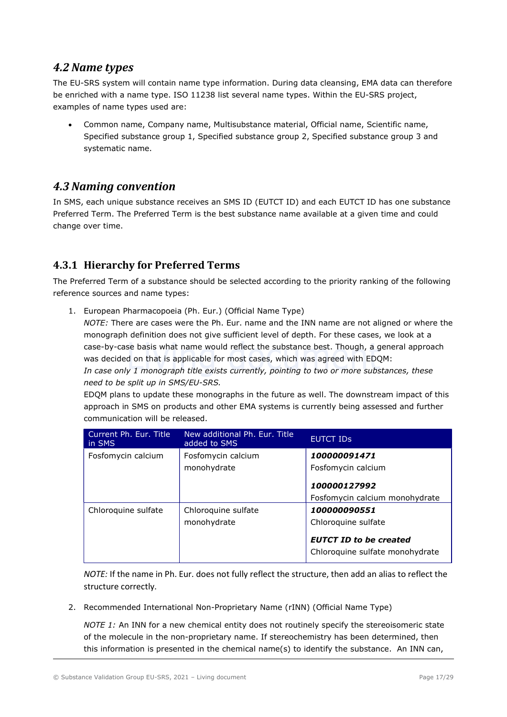## 4.2 Name types

The EU-SRS system will contain name type information. During data cleansing, EMA data can therefore be enriched with a name type. ISO 11238 list several name types. Within the EU-SRS project, examples of name types used are:

 Common name, Company name, Multisubstance material, Official name, Scientific name, Specified substance group 1, Specified substance group 2, Specified substance group 3 and systematic name.

## 4.3 Naming convention

In SMS, each unique substance receives an SMS ID (EUTCT ID) and each EUTCT ID has one substance Preferred Term. The Preferred Term is the best substance name available at a given time and could change over time.

## 4.3.1 Hierarchy for Preferred Terms

The Preferred Term of a substance should be selected according to the priority ranking of the following reference sources and name types:

1. European Pharmacopoeia (Ph. Eur.) (Official Name Type)

NOTE: There are cases were the Ph. Eur. name and the INN name are not aligned or where the monograph definition does not give sufficient level of depth. For these cases, we look at a case-by-case basis what name would reflect the substance best. Though, a general approach was decided on that is applicable for most cases, which was agreed with EDQM: In case only 1 monograph title exists currently, pointing to two or more substances, these need to be split up in SMS/EU-SRS.

EDQM plans to update these monographs in the future as well. The downstream impact of this approach in SMS on products and other EMA systems is currently being assessed and further communication will be released.

| Current Ph. Eur. Title<br>in SMS | New additional Ph. Eur. Title<br>added to SMS | <b>EUTCT IDS</b>                                                                                        |
|----------------------------------|-----------------------------------------------|---------------------------------------------------------------------------------------------------------|
| Fosfomycin calcium               | Fosfomycin calcium<br>monohydrate             | 100000091471<br>Fosfomycin calcium                                                                      |
|                                  |                                               | 100000127992<br>Fosfomycin calcium monohydrate                                                          |
| Chloroquine sulfate              | Chloroquine sulfate<br>monohydrate            | 100000090551<br>Chloroquine sulfate<br><b>EUTCT ID to be created</b><br>Chloroquine sulfate monohydrate |

NOTE: If the name in Ph. Eur. does not fully reflect the structure, then add an alias to reflect the structure correctly.

2. Recommended International Non-Proprietary Name (rINN) (Official Name Type)

NOTE 1: An INN for a new chemical entity does not routinely specify the stereoisomeric state of the molecule in the non-proprietary name. If stereochemistry has been determined, then this information is presented in the chemical name(s) to identify the substance. An INN can,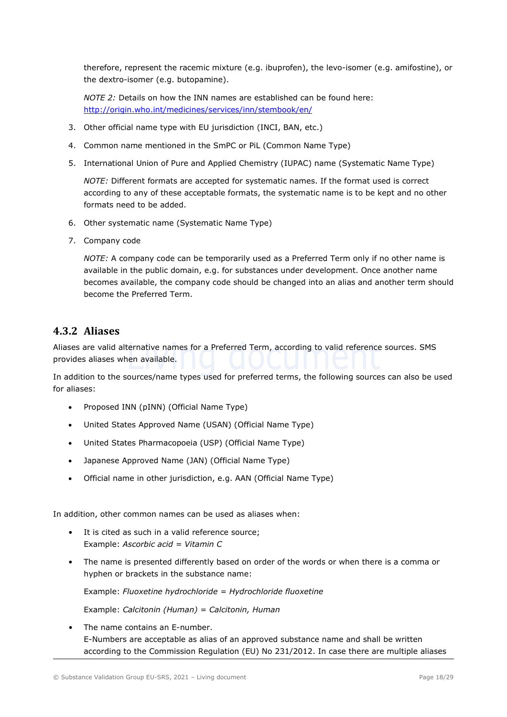therefore, represent the racemic mixture (e.g. ibuprofen), the levo-isomer (e.g. amifostine), or the dextro-isomer (e.g. butopamine).

NOTE 2: Details on how the INN names are established can be found here: http://origin.who.int/medicines/services/inn/stembook/en/

- 3. Other official name type with EU jurisdiction (INCI, BAN, etc.)
- 4. Common name mentioned in the SmPC or PiL (Common Name Type)
- 5. International Union of Pure and Applied Chemistry (IUPAC) name (Systematic Name Type)

NOTE: Different formats are accepted for systematic names. If the format used is correct according to any of these acceptable formats, the systematic name is to be kept and no other formats need to be added.

- 6. Other systematic name (Systematic Name Type)
- 7. Company code

NOTE: A company code can be temporarily used as a Preferred Term only if no other name is available in the public domain, e.g. for substances under development. Once another name becomes available, the company code should be changed into an alias and another term should become the Preferred Term.

## 4.3.2 Aliases

Aliases are valid alternative names for a Preferred Term, according to valid reference sources. SMS provides aliases when available.

In addition to the sources/name types used for preferred terms, the following sources can also be used for aliases:

- Proposed INN (pINN) (Official Name Type)
- United States Approved Name (USAN) (Official Name Type)
- United States Pharmacopoeia (USP) (Official Name Type)
- Japanese Approved Name (JAN) (Official Name Type)
- Official name in other jurisdiction, e.g. AAN (Official Name Type)

In addition, other common names can be used as aliases when:

- It is cited as such in a valid reference source; Example: Ascorbic acid = Vitamin C
- The name is presented differently based on order of the words or when there is a comma or hyphen or brackets in the substance name:

Example: Fluoxetine hydrochloride = Hydrochloride fluoxetine

Example: Calcitonin (Human) = Calcitonin, Human

• The name contains an E-number. E-Numbers are acceptable as alias of an approved substance name and shall be written according to the Commission Regulation (EU) No 231/2012. In case there are multiple aliases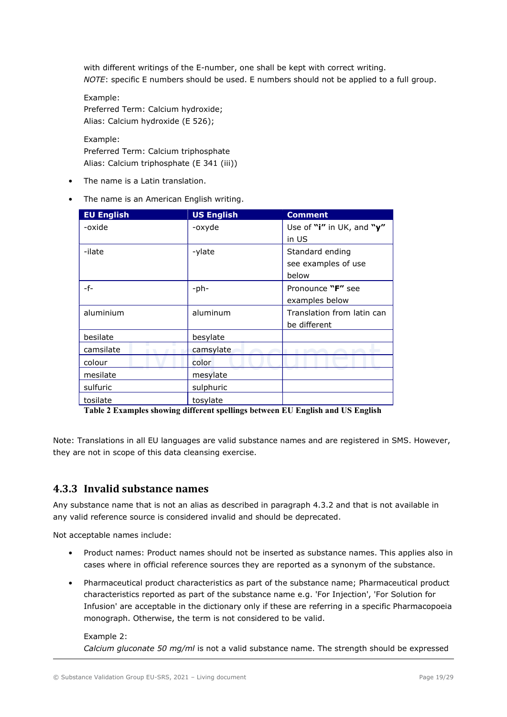with different writings of the E-number, one shall be kept with correct writing. NOTE: specific E numbers should be used. E numbers should not be applied to a full group.

Example: Preferred Term: Calcium hydroxide; Alias: Calcium hydroxide (E 526);

Example: Preferred Term: Calcium triphosphate Alias: Calcium triphosphate (E 341 (iii))

- The name is a Latin translation.
- The name is an American English writing.

| <b>EU English</b> | <b>US English</b> | <b>Comment</b>             |
|-------------------|-------------------|----------------------------|
| -oxide            | -oxyde            | Use of "i" in UK, and "y"  |
|                   |                   | in US                      |
| -ilate            | -ylate            | Standard ending            |
|                   |                   | see examples of use        |
|                   |                   | below                      |
| -f-               | $-ph-$            | Pronounce "F" see          |
|                   |                   | examples below             |
| aluminium         | aluminum          | Translation from latin can |
|                   |                   | be different               |
| besilate          | besylate          |                            |
| camsilate         | camsylate         |                            |
| colour            | color             |                            |
| mesilate          | mesylate          |                            |
| sulfuric          | sulphuric         |                            |
| tosilate          | tosylate          |                            |

Table 2 Examples showing different spellings between EU English and US English

Note: Translations in all EU languages are valid substance names and are registered in SMS. However, they are not in scope of this data cleansing exercise.

## 4.3.3 Invalid substance names

Any substance name that is not an alias as described in paragraph 4.3.2 and that is not available in any valid reference source is considered invalid and should be deprecated.

Not acceptable names include:

- Product names: Product names should not be inserted as substance names. This applies also in cases where in official reference sources they are reported as a synonym of the substance.
- Pharmaceutical product characteristics as part of the substance name; Pharmaceutical product characteristics reported as part of the substance name e.g. 'For Injection', 'For Solution for Infusion' are acceptable in the dictionary only if these are referring in a specific Pharmacopoeia monograph. Otherwise, the term is not considered to be valid.

### Example 2:

Calcium gluconate 50 mg/ml is not a valid substance name. The strength should be expressed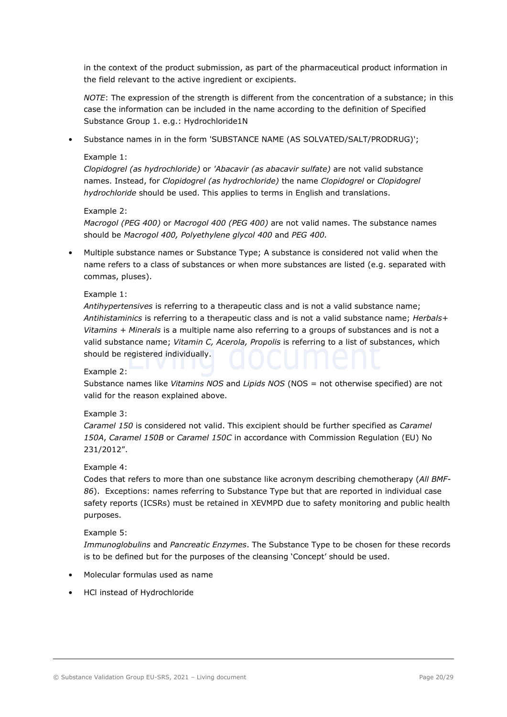in the context of the product submission, as part of the pharmaceutical product information in the field relevant to the active ingredient or excipients.

NOTE: The expression of the strength is different from the concentration of a substance; in this case the information can be included in the name according to the definition of Specified Substance Group 1. e.g.: Hydrochloride1N

• Substance names in in the form 'SUBSTANCE NAME (AS SOLVATED/SALT/PRODRUG)';

#### Example 1:

Clopidogrel (as hydrochloride) or 'Abacavir (as abacavir sulfate) are not valid substance names. Instead, for Clopidogrel (as hydrochloride) the name Clopidogrel or Clopidogrel hydrochloride should be used. This applies to terms in English and translations.

#### Example 2:

Macrogol (PEG 400) or Macrogol 400 (PEG 400) are not valid names. The substance names should be Macrogol 400, Polyethylene glycol 400 and PEG 400.

• Multiple substance names or Substance Type; A substance is considered not valid when the name refers to a class of substances or when more substances are listed (e.g. separated with commas, pluses).

#### Example 1:

Antihypertensives is referring to a therapeutic class and is not a valid substance name; Antihistaminics is referring to a therapeutic class and is not a valid substance name; Herbals+ Vitamins + Minerals is a multiple name also referring to a groups of substances and is not a valid substance name; Vitamin C, Acerola, Propolis is referring to a list of substances, which should be registered individually.

#### Example 2:

Substance names like Vitamins NOS and Lipids NOS (NOS = not otherwise specified) are not valid for the reason explained above.

#### Example 3:

Caramel 150 is considered not valid. This excipient should be further specified as Caramel 150A, Caramel 150B or Caramel 150C in accordance with Commission Regulation (EU) No 231/2012".

#### Example 4:

Codes that refers to more than one substance like acronym describing chemotherapy (All BMF-86). Exceptions: names referring to Substance Type but that are reported in individual case safety reports (ICSRs) must be retained in XEVMPD due to safety monitoring and public health purposes.

#### Example 5:

Immunoglobulins and Pancreatic Enzymes. The Substance Type to be chosen for these records is to be defined but for the purposes of the cleansing 'Concept' should be used.

- Molecular formulas used as name
- HCl instead of Hydrochloride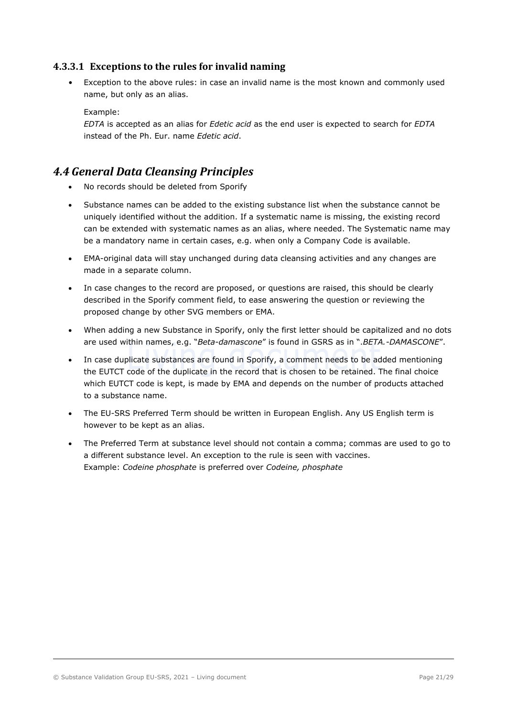### 4.3.3.1 Exceptions to the rules for invalid naming

• Exception to the above rules: in case an invalid name is the most known and commonly used name, but only as an alias.

Example:

EDTA is accepted as an alias for Edetic acid as the end user is expected to search for EDTA instead of the Ph. Eur. name Edetic acid.

## 4.4 General Data Cleansing Principles

- No records should be deleted from Sporify
- Substance names can be added to the existing substance list when the substance cannot be uniquely identified without the addition. If a systematic name is missing, the existing record can be extended with systematic names as an alias, where needed. The Systematic name may be a mandatory name in certain cases, e.g. when only a Company Code is available.
- EMA-original data will stay unchanged during data cleansing activities and any changes are made in a separate column.
- In case changes to the record are proposed, or questions are raised, this should be clearly described in the Sporify comment field, to ease answering the question or reviewing the proposed change by other SVG members or EMA.
- When adding a new Substance in Sporify, only the first letter should be capitalized and no dots are used within names, e.g. "Beta-damascone" is found in GSRS as in ".BETA.-DAMASCONE".
- In case duplicate substances are found in Sporify, a comment needs to be added mentioning the EUTCT code of the duplicate in the record that is chosen to be retained. The final choice which EUTCT code is kept, is made by EMA and depends on the number of products attached to a substance name.
- The EU-SRS Preferred Term should be written in European English. Any US English term is however to be kept as an alias.
- The Preferred Term at substance level should not contain a comma; commas are used to go to a different substance level. An exception to the rule is seen with vaccines. Example: Codeine phosphate is preferred over Codeine, phosphate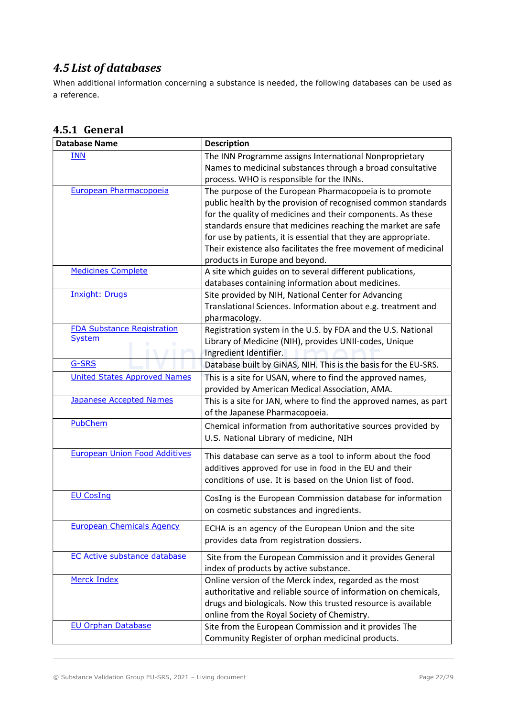# 4.5 List of databases

When additional information concerning a substance is needed, the following databases can be used as a reference.

| <b>Database Name</b>                               | <b>Description</b>                                                                                                                                                                                                                                                                                                                                                                                                              |
|----------------------------------------------------|---------------------------------------------------------------------------------------------------------------------------------------------------------------------------------------------------------------------------------------------------------------------------------------------------------------------------------------------------------------------------------------------------------------------------------|
| <b>INN</b>                                         | The INN Programme assigns International Nonproprietary<br>Names to medicinal substances through a broad consultative<br>process. WHO is responsible for the INNs.                                                                                                                                                                                                                                                               |
| European Pharmacopoeia                             | The purpose of the European Pharmacopoeia is to promote<br>public health by the provision of recognised common standards<br>for the quality of medicines and their components. As these<br>standards ensure that medicines reaching the market are safe<br>for use by patients, it is essential that they are appropriate.<br>Their existence also facilitates the free movement of medicinal<br>products in Europe and beyond. |
| <b>Medicines Complete</b>                          | A site which guides on to several different publications,<br>databases containing information about medicines.                                                                                                                                                                                                                                                                                                                  |
| <b>Inxight: Drugs</b>                              | Site provided by NIH, National Center for Advancing<br>Translational Sciences. Information about e.g. treatment and<br>pharmacology.                                                                                                                                                                                                                                                                                            |
| <b>FDA Substance Registration</b><br><b>System</b> | Registration system in the U.S. by FDA and the U.S. National<br>Library of Medicine (NIH), provides UNII-codes, Unique<br>Ingredient Identifier.                                                                                                                                                                                                                                                                                |
| G-SRS                                              | Database built by GINAS, NIH. This is the basis for the EU-SRS.                                                                                                                                                                                                                                                                                                                                                                 |
| <b>United States Approved Names</b>                | This is a site for USAN, where to find the approved names,<br>provided by American Medical Association, AMA.                                                                                                                                                                                                                                                                                                                    |
| <b>Japanese Accepted Names</b>                     | This is a site for JAN, where to find the approved names, as part<br>of the Japanese Pharmacopoeia.                                                                                                                                                                                                                                                                                                                             |
| PubChem                                            | Chemical information from authoritative sources provided by<br>U.S. National Library of medicine, NIH                                                                                                                                                                                                                                                                                                                           |
| <b>European Union Food Additives</b>               | This database can serve as a tool to inform about the food<br>additives approved for use in food in the EU and their<br>conditions of use. It is based on the Union list of food.                                                                                                                                                                                                                                               |
| <b>EU CosIng</b>                                   | CosIng is the European Commission database for information<br>on cosmetic substances and ingredients.                                                                                                                                                                                                                                                                                                                           |
| <b>European Chemicals Agency</b>                   | ECHA is an agency of the European Union and the site<br>provides data from registration dossiers.                                                                                                                                                                                                                                                                                                                               |
| <b>EC Active substance database</b>                | Site from the European Commission and it provides General<br>index of products by active substance.                                                                                                                                                                                                                                                                                                                             |
| Merck Index                                        | Online version of the Merck index, regarded as the most<br>authoritative and reliable source of information on chemicals,<br>drugs and biologicals. Now this trusted resource is available<br>online from the Royal Society of Chemistry.                                                                                                                                                                                       |
| <b>EU Orphan Database</b>                          | Site from the European Commission and it provides The<br>Community Register of orphan medicinal products.                                                                                                                                                                                                                                                                                                                       |

# 4.5.1 General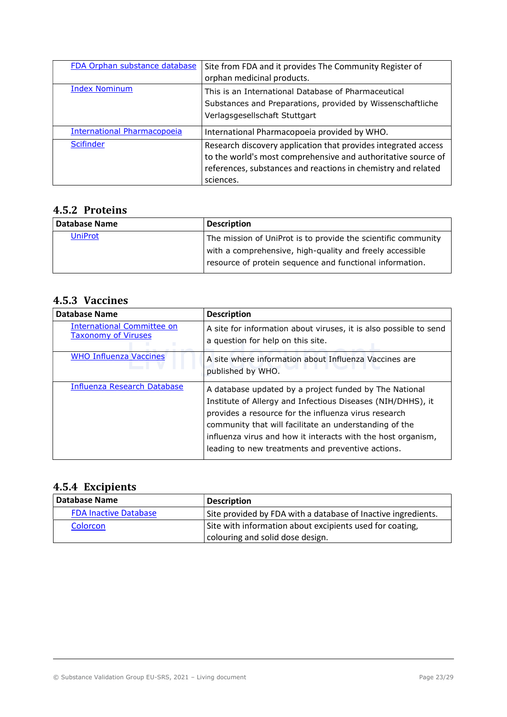| FDA Orphan substance database      | Site from FDA and it provides The Community Register of<br>orphan medicinal products.                                                                                                                         |
|------------------------------------|---------------------------------------------------------------------------------------------------------------------------------------------------------------------------------------------------------------|
| <b>Index Nominum</b>               | This is an International Database of Pharmaceutical<br>Substances and Preparations, provided by Wissenschaftliche<br>Verlagsgesellschaft Stuttgart                                                            |
| <b>International Pharmacopoeia</b> | International Pharmacopoeia provided by WHO.                                                                                                                                                                  |
| <b>Scifinder</b>                   | Research discovery application that provides integrated access<br>to the world's most comprehensive and authoritative source of<br>references, substances and reactions in chemistry and related<br>sciences. |

## 4.5.2 Proteins

| <b>Database Name</b> | <b>Description</b>                                            |
|----------------------|---------------------------------------------------------------|
| <b>UniProt</b>       | The mission of UniProt is to provide the scientific community |
|                      | with a comprehensive, high-quality and freely accessible      |
|                      | resource of protein sequence and functional information.      |

# 4.5.3 Vaccines

| <b>Database Name</b>                                     | <b>Description</b>                                                                                                                                                                                                                                                                                                                                           |
|----------------------------------------------------------|--------------------------------------------------------------------------------------------------------------------------------------------------------------------------------------------------------------------------------------------------------------------------------------------------------------------------------------------------------------|
| International Committee on<br><b>Taxonomy of Viruses</b> | A site for information about viruses, it is also possible to send<br>a question for help on this site.                                                                                                                                                                                                                                                       |
| <b>WHO Influenza Vaccines</b>                            | A site where information about Influenza Vaccines are<br>published by WHO.                                                                                                                                                                                                                                                                                   |
| Influenza Research Database                              | A database updated by a project funded by The National<br>Institute of Allergy and Infectious Diseases (NIH/DHHS), it<br>provides a resource for the influenza virus research<br>community that will facilitate an understanding of the<br>influenza virus and how it interacts with the host organism,<br>leading to new treatments and preventive actions. |

# 4.5.4 Excipients

| <b>Database Name</b>         | <b>Description</b>                                            |
|------------------------------|---------------------------------------------------------------|
| <b>FDA Inactive Database</b> | Site provided by FDA with a database of Inactive ingredients. |
| Colorcon                     | Site with information about excipients used for coating,      |
|                              | colouring and solid dose design.                              |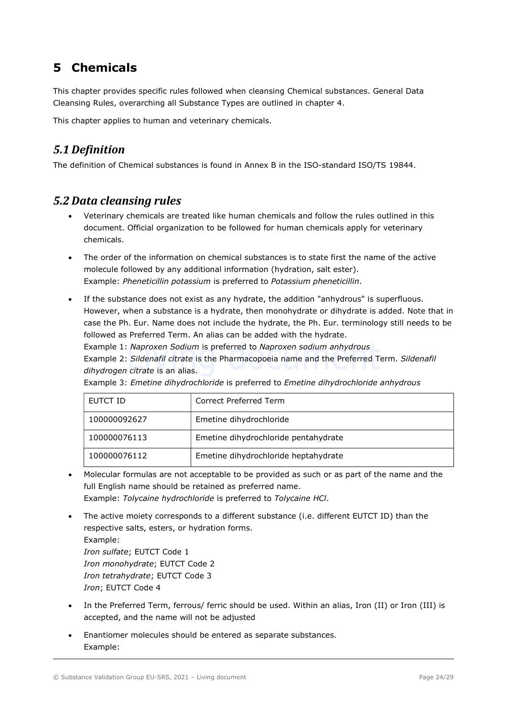# 5 Chemicals

This chapter provides specific rules followed when cleansing Chemical substances. General Data Cleansing Rules, overarching all Substance Types are outlined in chapter 4.

This chapter applies to human and veterinary chemicals.

# 5.1 Definition

The definition of Chemical substances is found in Annex B in the ISO-standard ISO/TS 19844.

## 5.2 Data cleansing rules

- Veterinary chemicals are treated like human chemicals and follow the rules outlined in this document. Official organization to be followed for human chemicals apply for veterinary chemicals.
- The order of the information on chemical substances is to state first the name of the active molecule followed by any additional information (hydration, salt ester). Example: Pheneticillin potassium is preferred to Potassium pheneticillin.
- If the substance does not exist as any hydrate, the addition "anhydrous" is superfluous. However, when a substance is a hydrate, then monohydrate or dihydrate is added. Note that in case the Ph. Eur. Name does not include the hydrate, the Ph. Eur. terminology still needs to be followed as Preferred Term. An alias can be added with the hydrate. Example 1: Naproxen Sodium is preferred to Naproxen sodium anhydrous

Example 2: Sildenafil citrate is the Pharmacopoeia name and the Preferred Term. Sildenafil dihydrogen citrate is an alias.

| EUTCT ID     | Correct Preferred Term               |
|--------------|--------------------------------------|
| 100000092627 | Emetine dihydrochloride              |
| 100000076113 | Emetine dihydrochloride pentahydrate |
| 100000076112 | Emetine dihydrochloride heptahydrate |

Example 3: Emetine dihydrochloride is preferred to Emetine dihydrochloride anhydrous

- Molecular formulas are not acceptable to be provided as such or as part of the name and the full English name should be retained as preferred name. Example: Tolycaine hydrochloride is preferred to Tolycaine HCl.
- The active moiety corresponds to a different substance (i.e. different EUTCT ID) than the respective salts, esters, or hydration forms. Example: Iron sulfate; EUTCT Code 1 Iron monohydrate; EUTCT Code 2 Iron tetrahydrate; EUTCT Code 3 Iron; EUTCT Code 4
- In the Preferred Term, ferrous/ ferric should be used. Within an alias, Iron (II) or Iron (III) is accepted, and the name will not be adjusted
- Enantiomer molecules should be entered as separate substances. Example: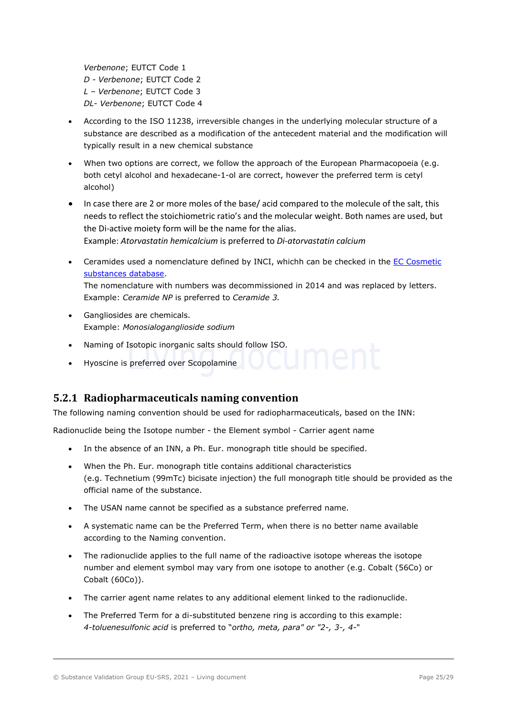Verbenone; EUTCT Code 1 D - Verbenone; EUTCT Code 2 L – Verbenone; EUTCT Code 3 DL- Verbenone; EUTCT Code 4

- According to the ISO 11238, irreversible changes in the underlying molecular structure of a substance are described as a modification of the antecedent material and the modification will typically result in a new chemical substance
- When two options are correct, we follow the approach of the European Pharmacopoeia (e.g. both cetyl alcohol and hexadecane-1-ol are correct, however the preferred term is cetyl alcohol)
- In case there are 2 or more moles of the base/ acid compared to the molecule of the salt, this needs to reflect the stoichiometric ratio's and the molecular weight. Both names are used, but the Di-active moiety form will be the name for the alias. Example: Atorvastatin hemicalcium is preferred to Di-atorvastatin calcium
- Ceramides used a nomenclature defined by INCI, whichh can be checked in the EC Cosmetic substances database. The nomenclature with numbers was decommissioned in 2014 and was replaced by letters. Example: Ceramide NP is preferred to Ceramide 3.
- Gangliosides are chemicals. Example: Monosialoganglioside sodium
- Naming of Isotopic inorganic salts should follow ISO.
- Hyoscine is preferred over Scopolamine

## 5.2.1 Radiopharmaceuticals naming convention

The following naming convention should be used for radiopharmaceuticals, based on the INN:

Radionuclide being the Isotope number - the Element symbol - Carrier agent name

- In the absence of an INN, a Ph. Eur. monograph title should be specified.
- When the Ph. Eur. monograph title contains additional characteristics (e.g. Technetium (99mTc) bicisate injection) the full monograph title should be provided as the official name of the substance.
- The USAN name cannot be specified as a substance preferred name.
- A systematic name can be the Preferred Term, when there is no better name available according to the Naming convention.
- The radionuclide applies to the full name of the radioactive isotope whereas the isotope number and element symbol may vary from one isotope to another (e.g. Cobalt (56Co) or Cobalt (60Co)).
- The carrier agent name relates to any additional element linked to the radionuclide.
- The Preferred Term for a di-substituted benzene ring is according to this example: 4-toluenesulfonic acid is preferred to "ortho, meta, para" or "2-, 3-, 4-"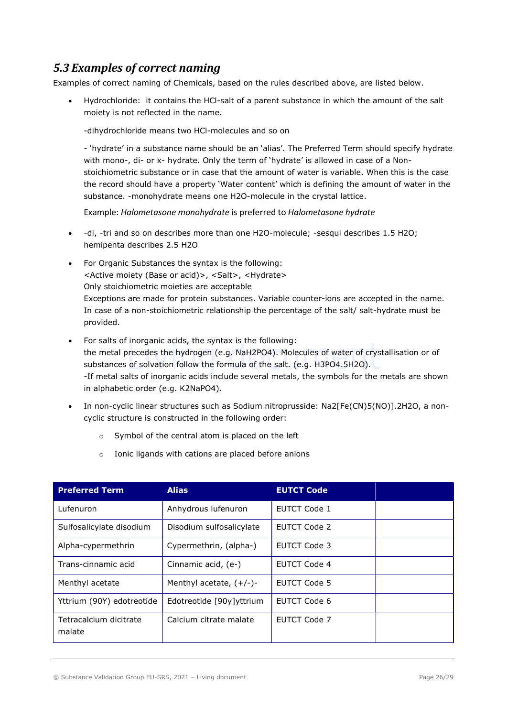# 5.3 Examples of correct naming

Examples of correct naming of Chemicals, based on the rules described above, are listed below.

 Hydrochloride: it contains the HCl-salt of a parent substance in which the amount of the salt moiety is not reflected in the name.

-dihydrochloride means two HCl-molecules and so on

- 'hydrate' in a substance name should be an 'alias'. The Preferred Term should specify hydrate with mono-, di- or x- hydrate. Only the term of 'hydrate' is allowed in case of a Nonstoichiometric substance or in case that the amount of water is variable. When this is the case the record should have a property 'Water content' which is defining the amount of water in the substance. -monohydrate means one H2O-molecule in the crystal lattice.

Example: Halometasone monohydrate is preferred to Halometasone hydrate

- -di, -tri and so on describes more than one H2O-molecule; -sesqui describes 1.5 H2O; hemipenta describes 2.5 H2O
- For Organic Substances the syntax is the following: <Active moiety (Base or acid)>, <Salt>, <Hydrate> Only stoichiometric moieties are acceptable Exceptions are made for protein substances. Variable counter-ions are accepted in the name. In case of a non-stoichiometric relationship the percentage of the salt/ salt-hydrate must be provided.
- For salts of inorganic acids, the syntax is the following: the metal precedes the hydrogen (e.g. NaH2PO4). Molecules of water of crystallisation or of substances of solvation follow the formula of the salt. (e.g. H3PO4.5H2O). -If metal salts of inorganic acids include several metals, the symbols for the metals are shown in alphabetic order (e.g. K2NaPO4).
- In non-cyclic linear structures such as Sodium nitroprusside: Na2[Fe(CN)5(NO)].2H2O, a noncyclic structure is constructed in the following order:
	- o Symbol of the central atom is placed on the left
	- Ionic ligands with cations are placed before anions

| <b>Preferred Term</b>            | <b>Alias</b>               | <b>EUTCT Code</b>   |  |
|----------------------------------|----------------------------|---------------------|--|
| Lufenuron                        | Anhydrous lufenuron        | EUTCT Code 1        |  |
| Sulfosalicylate disodium         | Disodium sulfosalicylate   | EUTCT Code 2        |  |
| Alpha-cypermethrin               | Cypermethrin, (alpha-)     | EUTCT Code 3        |  |
| Trans-cinnamic acid              | Cinnamic acid, (e-)        | <b>EUTCT Code 4</b> |  |
| Menthyl acetate                  | Menthyl acetate, $(+/-)$ - | EUTCT Code 5        |  |
| Yttrium (90Y) edotreotide        | Edotreotide [90y]yttrium   | EUTCT Code 6        |  |
| Tetracalcium dicitrate<br>malate | Calcium citrate malate     | EUTCT Code 7        |  |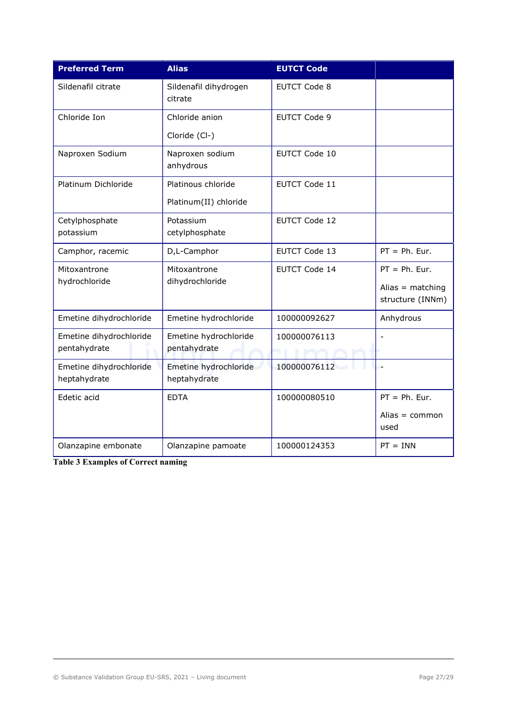| <b>Preferred Term</b>   | <b>Alias</b>                     | <b>EUTCT Code</b>    |                          |
|-------------------------|----------------------------------|----------------------|--------------------------|
| Sildenafil citrate      | Sildenafil dihydrogen<br>citrate | <b>EUTCT Code 8</b>  |                          |
| Chloride Ion            | Chloride anion                   | <b>EUTCT Code 9</b>  |                          |
|                         | Cloride (Cl-)                    |                      |                          |
| Naproxen Sodium         | Naproxen sodium<br>anhydrous     | <b>EUTCT Code 10</b> |                          |
| Platinum Dichloride     | Platinous chloride               | <b>EUTCT Code 11</b> |                          |
|                         | Platinum(II) chloride            |                      |                          |
| Cetylphosphate          | Potassium                        | <b>EUTCT Code 12</b> |                          |
| potassium               | cetylphosphate                   |                      |                          |
| Camphor, racemic        | D,L-Camphor                      | <b>EUTCT Code 13</b> | $PT = Ph. Eur.$          |
| Mitoxantrone            | Mitoxantrone                     | <b>EUTCT Code 14</b> | $PT = Ph. Eur.$          |
| hydrochloride           | dihydrochloride                  |                      | Alias = $matching$       |
|                         |                                  |                      | structure (INNm)         |
| Emetine dihydrochloride | Emetine hydrochloride            | 100000092627         | Anhydrous                |
| Emetine dihydrochloride | Emetine hydrochloride            | 100000076113         |                          |
| pentahydrate            | pentahydrate                     |                      |                          |
| Emetine dihydrochloride | Emetine hydrochloride            | 100000076112         |                          |
| heptahydrate            | heptahydrate                     |                      |                          |
| Edetic acid             | <b>EDTA</b>                      | 100000080510         | $PT = Ph. Eur.$          |
|                         |                                  |                      | Alias $=$ common<br>used |
| Olanzapine embonate     | Olanzapine pamoate               | 100000124353         | $PT = INN$               |

Table 3 Examples of Correct naming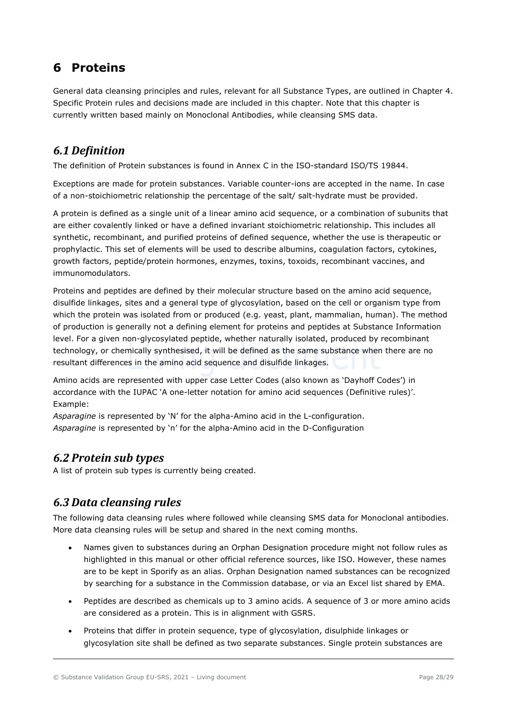# 6 Proteins

General data cleansing principles and rules, relevant for all Substance Types, are outlined in Chapter 4. Specific Protein rules and decisions made are included in this chapter. Note that this chapter is currently written based mainly on Monoclonal Antibodies, while cleansing SMS data.

# 6.1 Definition

The definition of Protein substances is found in Annex C in the ISO-standard ISO/TS 19844.

Exceptions are made for protein substances. Variable counter-ions are accepted in the name. In case of a non-stoichiometric relationship the percentage of the salt/ salt-hydrate must be provided.

A protein is defined as a single unit of a linear amino acid sequence, or a combination of subunits that are either covalently linked or have a defined invariant stoichiometric relationship. This includes all synthetic, recombinant, and purified proteins of defined sequence, whether the use is therapeutic or prophylactic. This set of elements will be used to describe albumins, coagulation factors, cytokines, growth factors, peptide/protein hormones, enzymes, toxins, toxoids, recombinant vaccines, and immunomodulators.

Proteins and peptides are defined by their molecular structure based on the amino acid sequence, disulfide linkages, sites and a general type of glycosylation, based on the cell or organism type from which the protein was isolated from or produced (e.g. yeast, plant, mammalian, human). The method of production is generally not a defining element for proteins and peptides at Substance Information level. For a given non-glycosylated peptide, whether naturally isolated, produced by recombinant technology, or chemically synthesised, it will be defined as the same substance when there are no resultant differences in the amino acid sequence and disulfide linkages.

Amino acids are represented with upper case Letter Codes (also known as 'Dayhoff Codes') in accordance with the IUPAC 'A one-letter notation for amino acid sequences (Definitive rules)'. Example:

Asparagine is represented by 'N' for the alpha-Amino acid in the L-configuration. Asparagine is represented by 'n' for the alpha-Amino acid in the D-Configuration

## 6.2 Protein sub types

A list of protein sub types is currently being created.

## 6.3 Data cleansing rules

The following data cleansing rules where followed while cleansing SMS data for Monoclonal antibodies. More data cleansing rules will be setup and shared in the next coming months.

- Names given to substances during an Orphan Designation procedure might not follow rules as highlighted in this manual or other official reference sources, like ISO. However, these names are to be kept in Sporify as an alias. Orphan Designation named substances can be recognized by searching for a substance in the Commission database, or via an Excel list shared by EMA.
- Peptides are described as chemicals up to 3 amino acids. A sequence of 3 or more amino acids are considered as a protein. This is in alignment with GSRS.
- Proteins that differ in protein sequence, type of glycosylation, disulphide linkages or glycosylation site shall be defined as two separate substances. Single protein substances are